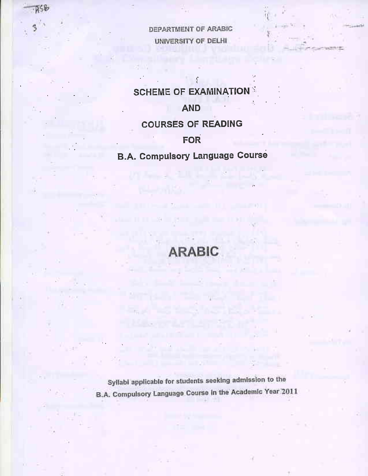DEPARTMENT OF ARABIC UNIVERSITY OF DELHI

# **SCHEME OF EXAMINATIONS**

### **AND**

#### **COURSES OF READING**

### **FOR**

# **B.A. Compulsory Language Course**

# **ARABIC**

Syllabi applicable for students seeking admission to the B.A. Compulsory Language Course In the Academic Year 2011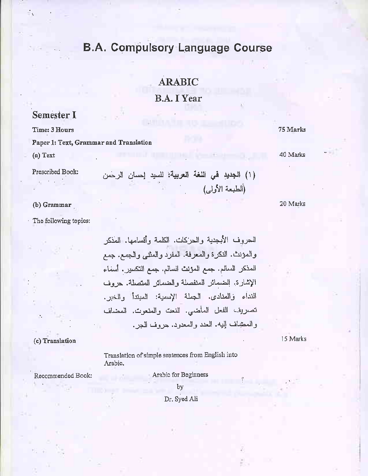# **ARABIC**

### **B.A. I Year**

#### **Semester I**

Time: 3 Hours

Paper 1: Text, Grammar and Translation

 $(a)$  Text

Prescribed Book:

(b) Grammar

The following topics:

الحروف الأبجدية والحركات. الكلمة وأقسامها. المذكر والمؤنث. النكرة والمعرفة. المفرد والمنتبي والجمع. جمع الممذكر السالم. جمع المؤنث السالم. جمع التكسير. أسماء الإشارة. الضمائر المنفصلة والضمائر المتصلة. حروف النداء والمنادي. الجملة الإسمية: المبتدأ والخبر. تصريف الفعل المأضيي. النعت والمنعوت. المضاف والمعضاف إليه. العدد والمعدود. حروف الـجر.

#### (c) Translation

15 Marks

Translation of simple sentences from English into Arabic.

Recommended Book:

Arabic for Beginners by

Dr. Syed Ali

75 Marks

40 Marks

20 Marks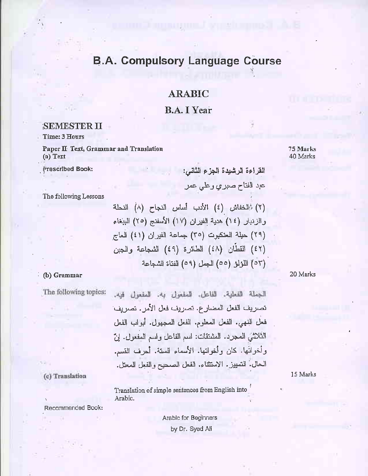### **ARABIC**

#### **B.A. I Year**

#### **SEMESTER II**

Time: 3 Hours

Paper II Text, Grammar and Translation  $(a)$  Text

**Prescribed Book:** 

75 Marks 40 Marks

The following Lessons

(٢) (الخفاش (٤) الأدب أساس النجاح (٨) النحلة والزنبار (١٤) هدية الفيران (١٧) الأسفنج (٢٥) الببغاء (٢٩) حيلة العنكبوت (٣٥) جماعة الفيران (٤١) العاج (٤٢) الفطَّان (٤٨) الطَّائرة (٤٩) الشَّجاعة والَّحِبن (٥٣) اللؤلؤ (٥٥) الجمل (٥٩) الفتاة الشجاعة

القراءة الرشيدة الجزء الثانس:

عبد الفتاح صبري وعلي عمر

#### (b) Grammar

The following topics:

الجملة الفعلية. الفاعل. المفعول به. المفعول فيه. تصريف الفعل المضارع. تصريف فعل الأمر . تصريف فعل النهي. الفعل المعلوم. الفعل المجهول. أبواب الفعل الثَّلاثيُّ المجرد. المشتقَّات: اسم الفاعل واسم المفعول. إنَّ وأخواتُها. كان وأخواتها. الأسماء الستة. أحرف القسم. الحال. التمييز . الاستثناء. الفعل الصحيح والفعل المعتل.

Translation of simple sentences from English into Arabic.

Recommended Book:

(c) Translation

Arabic for Beginners by Dr. Syed All

20 Marks

15 Marks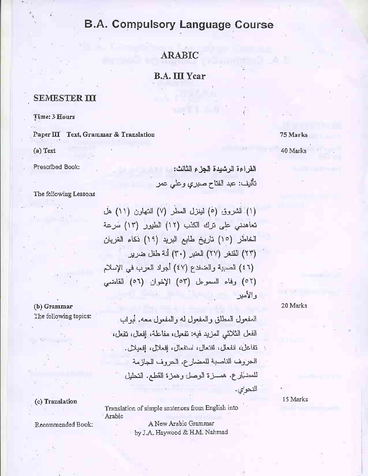### **ARABIC**

**B.A. III Year** 

#### **SEMESTER III**

Time: 3 Hours

Paper III Text, Grammar & Translation

(a) Text

Prescribed Book:

القراءة الرشيدة الجزء الثالث: تأليف: عبد الفتاح صبري وعلى عمر

The following Lessons

(١) الشروق (٥) لينزل المطر (٧) التهاون (١١) هل تعاهدني على ترك الكذب (١٢) الطيور (١٣) سرعة الخاطر (١٥) تاريخ طابع البريد (١٩) ذكاء الغربان (٢٣) القنغر (٢٧) العثير (٣٠) أنة طفل ضرير (٤٦) الصبية والضغدع (٤٧) أجواد العرب في الإسلام (٥٢) وفاء السموعل (٥٣) الإخوان (٥٦) القاضبي و الأمير

20 Marks

(b) Grammar The following topics:

المفعول المطلق والمفعول له والمفعول معه. أبواب الفعل الثلاثي المزيد فيه: تفعيل، مفاعلة، إفعال، تفعل، نفاعل، انفعال، افتعال، استفعال، افعلال، افعبلال. الدروف الناصبة للمضارع. الدروف الجازمة للمضيَّارع. همسزة الوصل وهمزة القطع. التحليل النحو'ي.

15 Marks

Translation of simple sentences from English into Arabic

Recommended Book:

(c) Translation

A New Arabic Grammar by J.A. Haywood & H.M. Nahmad 75 Marks 40 Marks